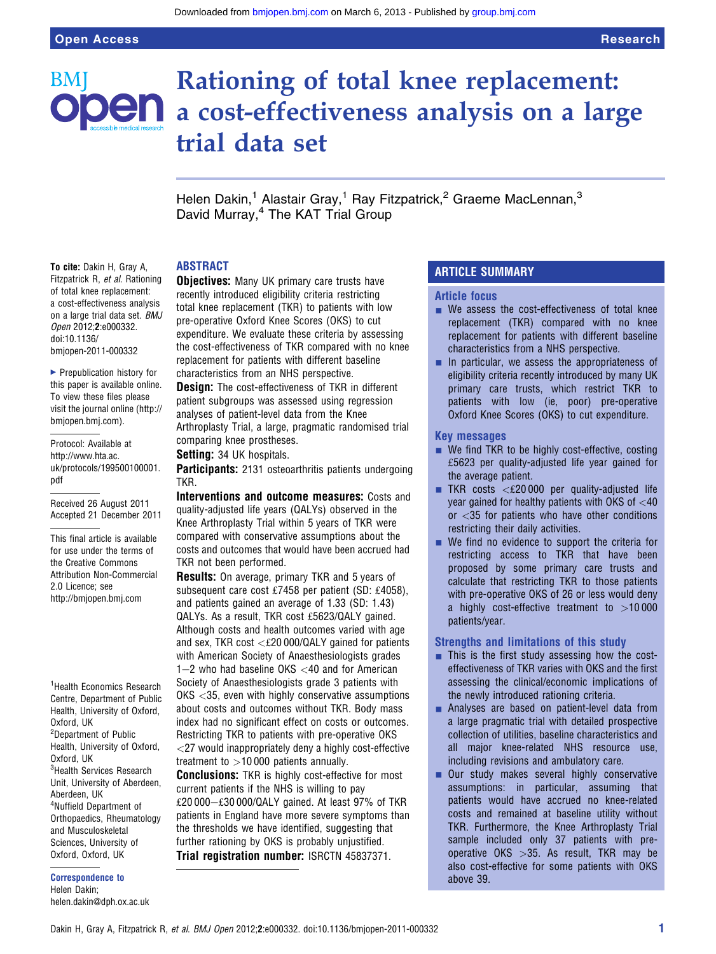BMI

# Rationing of total knee replacement: **Den** a cost-effectiveness analysis on a large trial data set

Helen Dakin,<sup>1</sup> Alastair Gray,<sup>1</sup> Ray Fitzpatrick,<sup>2</sup> Graeme MacLennan,<sup>3</sup> David Murray,<sup>4</sup> The KAT Trial Group

#### ABSTRACT

To cite: Dakin H, Gray A, Fitzpatrick R, et al. Rationing of total knee replacement: a cost-effectiveness analysis on a large trial data set. BMJ Open 2012;2:e000332. doi:10.1136/ bmjopen-2011-000332

 $\blacktriangleright$  Prepublication history for this paper is available online. To view these files please visit the journal online (http:// bmjopen.bmj.com).

Protocol: Available at http://www.hta.ac. uk/protocols/199500100001. pdf

Received 26 August 2011 Accepted 21 December 2011

This final article is available for use under the terms of the Creative Commons Attribution Non-Commercial 2.0 Licence; see http://bmjopen.bmj.com

<sup>1</sup> Health Economics Research Centre, Department of Public Health, University of Oxford, Oxford, UK <sup>2</sup>Department of Public Health, University of Oxford, Oxford, UK <sup>3</sup>Health Services Research Unit, University of Aberdeen, Aberdeen, UK 4 Nuffield Department of Orthopaedics, Rheumatology and Musculoskeletal Sciences, University of Oxford, Oxford, UK

Correspondence to Helen Dakin; helen.dakin@dph.ox.ac.uk **Objectives:** Many UK primary care trusts have recently introduced eligibility criteria restricting total knee replacement (TKR) to patients with low pre-operative Oxford Knee Scores (OKS) to cut expenditure. We evaluate these criteria by assessing the cost-effectiveness of TKR compared with no knee replacement for patients with different baseline characteristics from an NHS perspective.

**Design:** The cost-effectiveness of TKR in different patient subgroups was assessed using regression analyses of patient-level data from the Knee Arthroplasty Trial, a large, pragmatic randomised trial comparing knee prostheses.

Setting: 34 UK hospitals.

Participants: 2131 osteoarthritis patients undergoing TKR.

Interventions and outcome measures: Costs and quality-adjusted life years (QALYs) observed in the Knee Arthroplasty Trial within 5 years of TKR were compared with conservative assumptions about the costs and outcomes that would have been accrued had TKR not been performed.

**Results:** On average, primary TKR and 5 years of subsequent care cost £7458 per patient (SD: £4058), and patients gained an average of 1.33 (SD: 1.43) QALYs. As a result, TKR cost £5623/QALY gained. Although costs and health outcomes varied with age and sex, TKR cost  $\langle \text{£}20000/\text{QALY}$  gained for patients with American Society of Anaesthesiologists grades  $1-2$  who had baseline OKS  $<$  40 and for American Society of Anaesthesiologists grade 3 patients with OKS <35, even with highly conservative assumptions about costs and outcomes without TKR. Body mass index had no significant effect on costs or outcomes. Restricting TKR to patients with pre-operative OKS <27 would inappropriately deny a highly cost-effective treatment to  $>10000$  patients annually.

**Conclusions:** TKR is highly cost-effective for most current patients if the NHS is willing to pay  $£20000-E30000/QALY$  gained. At least 97% of TKR patients in England have more severe symptoms than the thresholds we have identified, suggesting that further rationing by OKS is probably unjustified. Trial registration number: ISRCTN 45837371.

## ARTICLE SUMMARY

#### Article focus

- $\blacksquare$  We assess the cost-effectiveness of total knee replacement (TKR) compared with no knee replacement for patients with different baseline characteristics from a NHS perspective.
- $\blacksquare$  In particular, we assess the appropriateness of eligibility criteria recently introduced by many UK primary care trusts, which restrict TKR to patients with low (ie, poor) pre-operative Oxford Knee Scores (OKS) to cut expenditure.

#### Key messages

- $\blacksquare$  We find TKR to be highly cost-effective, costing £5623 per quality-adjusted life year gained for the average patient.
- $\blacksquare$  TKR costs <£20,000 per quality-adjusted life year gained for healthy patients with OKS of <40 or <35 for patients who have other conditions restricting their daily activities.
- $\blacksquare$  We find no evidence to support the criteria for restricting access to TKR that have been proposed by some primary care trusts and calculate that restricting TKR to those patients with pre-operative OKS of 26 or less would deny a highly cost-effective treatment to  $>10000$ patients/year.

## Strengths and limitations of this study

- $\blacksquare$  This is the first study assessing how the costeffectiveness of TKR varies with OKS and the first assessing the clinical/economic implications of the newly introduced rationing criteria.
- **-** Analyses are based on patient-level data from a large pragmatic trial with detailed prospective collection of utilities, baseline characteristics and all major knee-related NHS resource use, including revisions and ambulatory care.
- **Our study makes several highly conservative** assumptions: in particular, assuming that patients would have accrued no knee-related costs and remained at baseline utility without TKR. Furthermore, the Knee Arthroplasty Trial sample included only 37 patients with preoperative OKS >35. As result, TKR may be also cost-effective for some patients with OKS above 39.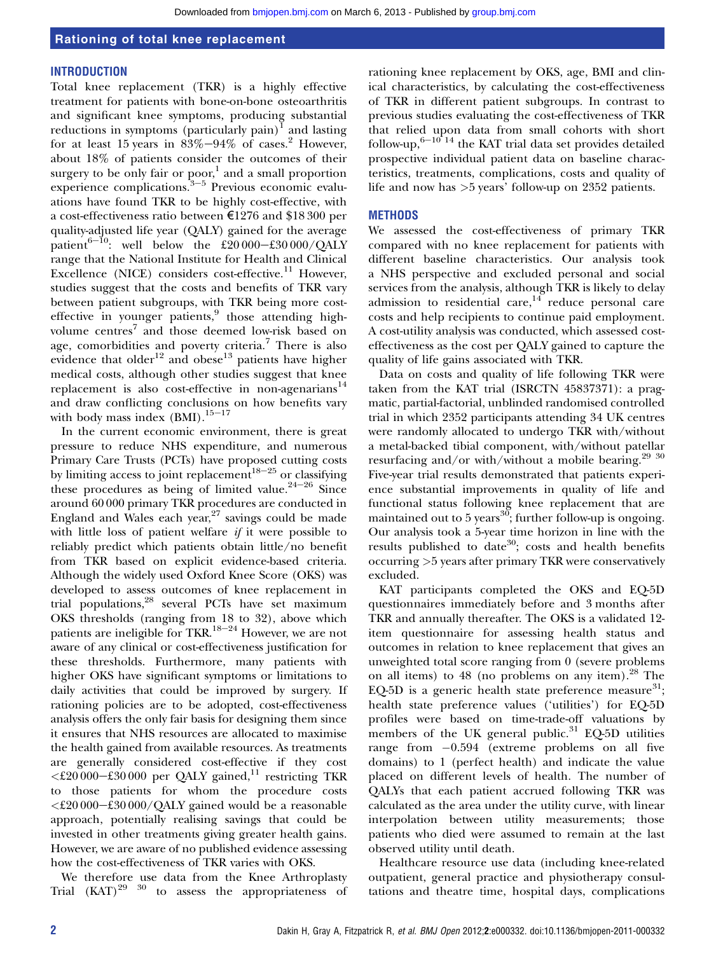Downloaded from [bmjopen.bmj.com](http://bmjopen.bmj.com/) on March 6, 2013 - Published by [group.bmj.com](http://group.bmj.com/)

## Rationing of total knee replacement

#### **INTRODUCTION**

Total knee replacement (TKR) is a highly effective treatment for patients with bone-on-bone osteoarthritis and significant knee symptoms, producing substantial reductions in symptoms (particularly pain)<sup>1</sup> and lasting for at least 15 years in  $83\% - 94\%$  of cases.<sup>2</sup> However, about 18% of patients consider the outcomes of their surgery to be only fair or poor, $<sup>1</sup>$  and a small proportion</sup> experience complications. $3-5$  Previous economic evaluations have found TKR to be highly cost-effective, with a cost-effectiveness ratio between €1276 and \$18 300 per quality-adjusted life year (QALY) gained for the average patient<sup>6-10</sup>: well below the £20 000-£30 000/OALY range that the National Institute for Health and Clinical Excellence (NICE) considers cost-effective.<sup>11</sup> However, studies suggest that the costs and benefits of TKR vary between patient subgroups, with TKR being more costeffective in younger patients,<sup>9</sup> those attending highvolume centres<sup>7</sup> and those deemed low-risk based on age, comorbidities and poverty criteria.<sup>7</sup> There is also evidence that older<sup>12</sup> and obese<sup>13</sup> patients have higher medical costs, although other studies suggest that knee replacement is also cost-effective in non-agenarians<sup>14</sup> and draw conflicting conclusions on how benefits vary with body mass index  $(BMI)$ .<sup>15–17</sup>

In the current economic environment, there is great pressure to reduce NHS expenditure, and numerous Primary Care Trusts (PCTs) have proposed cutting costs by limiting access to joint replacement<sup>18-25</sup> or classifying these procedures as being of limited value.<sup>24-26</sup> Since around 60 000 primary TKR procedures are conducted in England and Wales each year,  $27$  savings could be made with little loss of patient welfare if it were possible to reliably predict which patients obtain little/no benefit from TKR based on explicit evidence-based criteria. Although the widely used Oxford Knee Score (OKS) was developed to assess outcomes of knee replacement in trial populations,28 several PCTs have set maximum OKS thresholds (ranging from 18 to 32), above which patients are ineligible for TKR.<sup>18-24</sup> However, we are not aware of any clinical or cost-effectiveness justification for these thresholds. Furthermore, many patients with higher OKS have significant symptoms or limitations to daily activities that could be improved by surgery. If rationing policies are to be adopted, cost-effectiveness analysis offers the only fair basis for designing them since it ensures that NHS resources are allocated to maximise the health gained from available resources. As treatments are generally considered cost-effective if they cost  $\langle \text{\textsterling}20\,000-\text{\textsterling}30\,000$  per QALY gained,<sup>11</sup> restricting TKR to those patients for whom the procedure costs  $<$ £20 000-£30 000/QALY gained would be a reasonable approach, potentially realising savings that could be invested in other treatments giving greater health gains. However, we are aware of no published evidence assessing how the cost-effectiveness of TKR varies with OKS.

We therefore use data from the Knee Arthroplasty Trial  $(KAT)^{29}$  30 to assess the appropriateness of

rationing knee replacement by OKS, age, BMI and clinical characteristics, by calculating the cost-effectiveness of TKR in different patient subgroups. In contrast to previous studies evaluating the cost-effectiveness of TKR that relied upon data from small cohorts with short follow-up,  $6-10^{-14}$  the KAT trial data set provides detailed prospective individual patient data on baseline characteristics, treatments, complications, costs and quality of life and now has >5 years' follow-up on 2352 patients.

## **METHODS**

We assessed the cost-effectiveness of primary TKR compared with no knee replacement for patients with different baseline characteristics. Our analysis took a NHS perspective and excluded personal and social services from the analysis, although TKR is likely to delay admission to residential care,  $14$  reduce personal care costs and help recipients to continue paid employment. A cost-utility analysis was conducted, which assessed costeffectiveness as the cost per QALY gained to capture the quality of life gains associated with TKR.

Data on costs and quality of life following TKR were taken from the KAT trial (ISRCTN 45837371): a pragmatic, partial-factorial, unblinded randomised controlled trial in which 2352 participants attending 34 UK centres were randomly allocated to undergo TKR with/without a metal-backed tibial component, with/without patellar resurfacing and/or with/without a mobile bearing.<sup>29</sup> <sup>30</sup> Five-year trial results demonstrated that patients experience substantial improvements in quality of life and functional status following knee replacement that are maintained out to 5 years<sup>30</sup>; further follow-up is ongoing. Our analysis took a 5-year time horizon in line with the results published to date<sup>30</sup>; costs and health benefits occurring >5 years after primary TKR were conservatively excluded.

KAT participants completed the OKS and EQ-5D questionnaires immediately before and 3 months after TKR and annually thereafter. The OKS is a validated 12 item questionnaire for assessing health status and outcomes in relation to knee replacement that gives an unweighted total score ranging from 0 (severe problems on all items) to  $48$  (no problems on any item).<sup>28</sup> The EQ-5D is a generic health state preference measure $^{31}$ ; health state preference values ('utilities') for EQ-5D profiles were based on time-trade-off valuations by members of the UK general public. $31$  EQ-5D utilities range from  $-0.594$  (extreme problems on all five domains) to 1 (perfect health) and indicate the value placed on different levels of health. The number of QALYs that each patient accrued following TKR was calculated as the area under the utility curve, with linear interpolation between utility measurements; those patients who died were assumed to remain at the last observed utility until death.

Healthcare resource use data (including knee-related outpatient, general practice and physiotherapy consultations and theatre time, hospital days, complications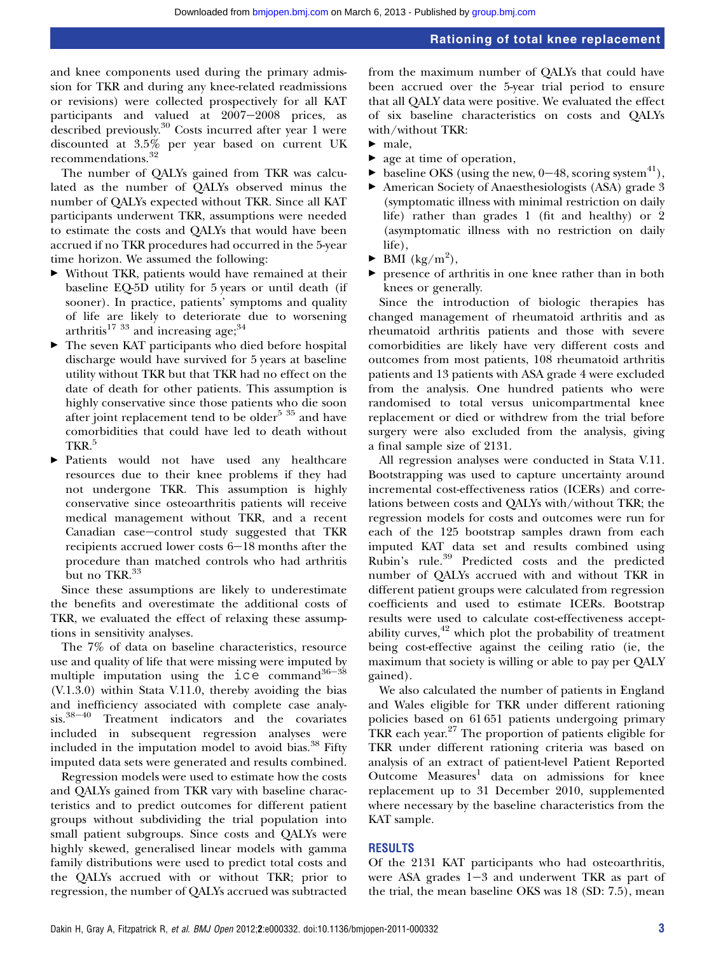and knee components used during the primary admission for TKR and during any knee-related readmissions or revisions) were collected prospectively for all KAT participants and valued at  $2007-2008$  prices, as described previously.<sup>30</sup> Costs incurred after year 1 were discounted at 3.5% per year based on current UK recommendations.<sup>32</sup>

The number of QALYs gained from TKR was calculated as the number of QALYs observed minus the number of QALYs expected without TKR. Since all KAT participants underwent TKR, assumptions were needed to estimate the costs and QALYs that would have been accrued if no TKR procedures had occurred in the 5-year time horizon. We assumed the following:

- < Without TKR, patients would have remained at their baseline EQ-5D utility for 5 years or until death (if sooner). In practice, patients' symptoms and quality of life are likely to deteriorate due to worsening arthritis<sup>17 33</sup> and increasing age;<sup>34</sup>
- $\blacktriangleright$  The seven KAT participants who died before hospital discharge would have survived for 5 years at baseline utility without TKR but that TKR had no effect on the date of death for other patients. This assumption is highly conservative since those patients who die soon after joint replacement tend to be older<sup>5 35</sup> and have comorbidities that could have led to death without TKR.<sup>5</sup>
- < Patients would not have used any healthcare resources due to their knee problems if they had not undergone TKR. This assumption is highly conservative since osteoarthritis patients will receive medical management without TKR, and a recent Canadian case-control study suggested that TKR recipients accrued lower costs  $6-18$  months after the procedure than matched controls who had arthritis but no TKR.<sup>33</sup>

Since these assumptions are likely to underestimate the benefits and overestimate the additional costs of TKR, we evaluated the effect of relaxing these assumptions in sensitivity analyses.

The 7% of data on baseline characteristics, resource use and quality of life that were missing were imputed by multiple imputation using the  $\text{ice}\$ command<sup>36-38</sup> (V.1.3.0) within Stata V.11.0, thereby avoiding the bias and inefficiency associated with complete case analy $sis.^{38-40}$  Treatment indicators and the covariates included in subsequent regression analyses were included in the imputation model to avoid bias.<sup>38</sup> Fifty imputed data sets were generated and results combined.

Regression models were used to estimate how the costs and QALYs gained from TKR vary with baseline characteristics and to predict outcomes for different patient groups without subdividing the trial population into small patient subgroups. Since costs and QALYs were highly skewed, generalised linear models with gamma family distributions were used to predict total costs and the QALYs accrued with or without TKR; prior to regression, the number of QALYs accrued was subtracted

from the maximum number of QALYs that could have been accrued over the 5-year trial period to ensure that all QALY data were positive. We evaluated the effect of six baseline characteristics on costs and QALYs with/without TKR:

- $\blacktriangleright$  male.
- $\blacktriangleright$  age at time of operation.
- $\blacktriangleright$  baseline OKS (using the new, 0–48, scoring system<sup>41</sup>),
- $\blacktriangleright$  American Society of Anaesthesiologists (ASA) grade 3 (symptomatic illness with minimal restriction on daily life) rather than grades 1 (fit and healthy) or 2 (asymptomatic illness with no restriction on daily life),
- $\blacktriangleright$  BMI (kg/m<sup>2</sup>),
- $\blacktriangleright$  presence of arthritis in one knee rather than in both knees or generally.

Since the introduction of biologic therapies has changed management of rheumatoid arthritis and as rheumatoid arthritis patients and those with severe comorbidities are likely have very different costs and outcomes from most patients, 108 rheumatoid arthritis patients and 13 patients with ASA grade 4 were excluded from the analysis. One hundred patients who were randomised to total versus unicompartmental knee replacement or died or withdrew from the trial before surgery were also excluded from the analysis, giving a final sample size of 2131.

All regression analyses were conducted in Stata V.11. Bootstrapping was used to capture uncertainty around incremental cost-effectiveness ratios (ICERs) and correlations between costs and QALYs with/without TKR; the regression models for costs and outcomes were run for each of the 125 bootstrap samples drawn from each imputed KAT data set and results combined using Rubin's rule.<sup>39</sup> Predicted costs and the predicted number of QALYs accrued with and without TKR in different patient groups were calculated from regression coefficients and used to estimate ICERs. Bootstrap results were used to calculate cost-effectiveness acceptability curves, $42$  which plot the probability of treatment being cost-effective against the ceiling ratio (ie, the maximum that society is willing or able to pay per QALY gained).

We also calculated the number of patients in England and Wales eligible for TKR under different rationing policies based on 61 651 patients undergoing primary TKR each year. $27$  The proportion of patients eligible for TKR under different rationing criteria was based on analysis of an extract of patient-level Patient Reported Outcome  $Measures<sup>1</sup>$  data on admissions for knee replacement up to 31 December 2010, supplemented where necessary by the baseline characteristics from the KAT sample.

## RESULTS

Of the 2131 KAT participants who had osteoarthritis, were ASA grades  $1-3$  and underwent TKR as part of the trial, the mean baseline OKS was 18 (SD: 7.5), mean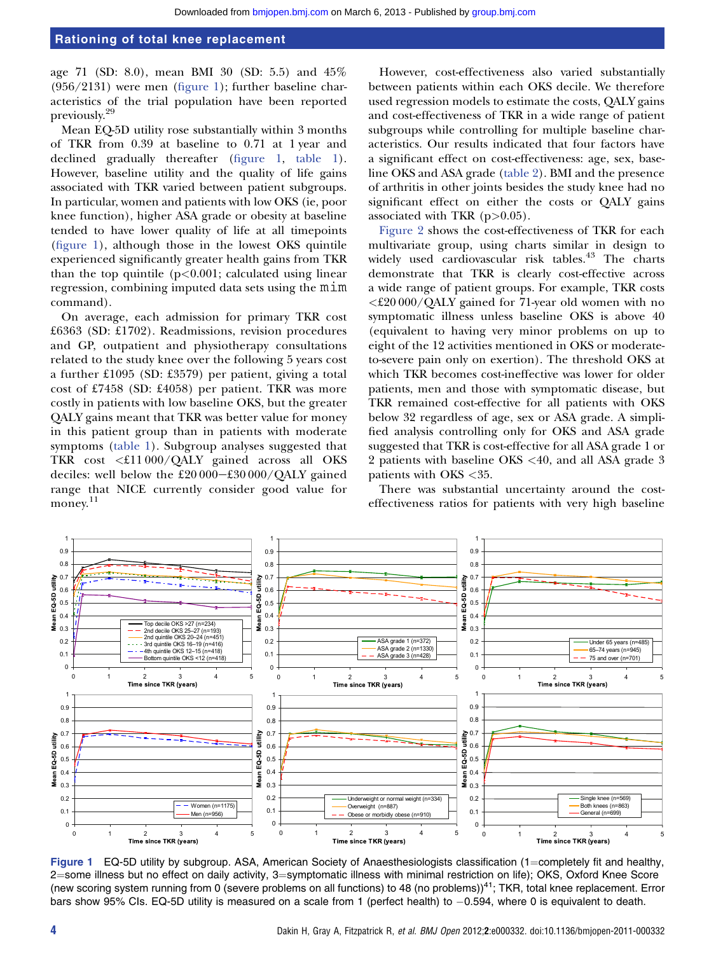age 71 (SD: 8.0), mean BMI 30 (SD: 5.5) and 45% (956/2131) were men (figure 1); further baseline characteristics of the trial population have been reported previously.29

Mean EQ-5D utility rose substantially within 3 months of TKR from 0.39 at baseline to 0.71 at 1 year and declined gradually thereafter (figure 1, table 1). However, baseline utility and the quality of life gains associated with TKR varied between patient subgroups. In particular, women and patients with low OKS (ie, poor knee function), higher ASA grade or obesity at baseline tended to have lower quality of life at all timepoints (figure 1), although those in the lowest OKS quintile experienced significantly greater health gains from TKR than the top quintile  $(p<0.001$ ; calculated using linear regression, combining imputed data sets using the mim command).

On average, each admission for primary TKR cost £6363 (SD: £1702). Readmissions, revision procedures and GP, outpatient and physiotherapy consultations related to the study knee over the following 5 years cost a further £1095 (SD: £3579) per patient, giving a total cost of £7458 (SD: £4058) per patient. TKR was more costly in patients with low baseline OKS, but the greater QALY gains meant that TKR was better value for money in this patient group than in patients with moderate symptoms (table 1). Subgroup analyses suggested that TKR cost <£11 000/QALY gained across all OKS deciles: well below the  $£20000–£30000/QALY$  gained range that NICE currently consider good value for money. 11

However, cost-effectiveness also varied substantially between patients within each OKS decile. We therefore used regression models to estimate the costs, QALY gains and cost-effectiveness of TKR in a wide range of patient subgroups while controlling for multiple baseline characteristics. Our results indicated that four factors have a significant effect on cost-effectiveness: age, sex, baseline OKS and ASA grade (table 2). BMI and the presence of arthritis in other joints besides the study knee had no significant effect on either the costs or QALY gains associated with TKR  $(p>0.05)$ .

Figure 2 shows the cost-effectiveness of TKR for each multivariate group, using charts similar in design to widely used cardiovascular risk tables.<sup>43</sup> The charts demonstrate that TKR is clearly cost-effective across a wide range of patient groups. For example, TKR costs <£20 000/QALY gained for 71-year old women with no symptomatic illness unless baseline OKS is above 40 (equivalent to having very minor problems on up to eight of the 12 activities mentioned in OKS or moderateto-severe pain only on exertion). The threshold OKS at which TKR becomes cost-ineffective was lower for older patients, men and those with symptomatic disease, but TKR remained cost-effective for all patients with OKS below 32 regardless of age, sex or ASA grade. A simplified analysis controlling only for OKS and ASA grade suggested that TKR is cost-effective for all ASA grade 1 or 2 patients with baseline OKS <40, and all ASA grade 3 patients with OKS <35.

There was substantial uncertainty around the costeffectiveness ratios for patients with very high baseline



Figure 1 EQ-5D utility by subgroup. ASA, American Society of Anaesthesiologists classification (1=completely fit and healthy, 2=some illness but no effect on daily activity, 3=symptomatic illness with minimal restriction on life); OKS, Oxford Knee Score (new scoring system running from 0 (severe problems on all functions) to 48 (no problems))<sup>41</sup>; TKR, total knee replacement. Error bars show 95% CIs. EQ-5D utility is measured on a scale from 1 (perfect health) to 0.594, where 0 is equivalent to death.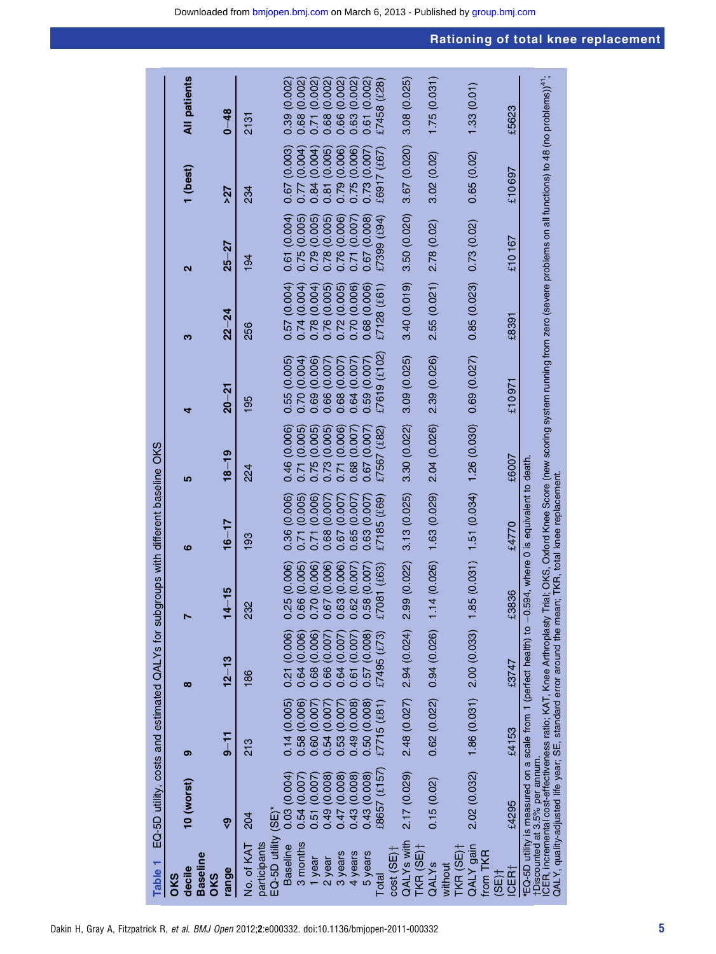| Table <sub>1</sub>                      |                                | EQ-5D utility, costs and estimated QALYs for subgroups with different baseline OKS                      |                                                                     |                                                                                                        |                 |                              |                                                                                                                                                                                                         |                             |                 |                             |                     |
|-----------------------------------------|--------------------------------|---------------------------------------------------------------------------------------------------------|---------------------------------------------------------------------|--------------------------------------------------------------------------------------------------------|-----------------|------------------------------|---------------------------------------------------------------------------------------------------------------------------------------------------------------------------------------------------------|-----------------------------|-----------------|-----------------------------|---------------------|
| <b>Baseline</b><br>decile<br>OKS<br>OKS | 10 (worst)                     | ග                                                                                                       | $\infty$                                                            |                                                                                                        | ဖ               | <u>၊ဂ</u>                    | ۹                                                                                                                                                                                                       | ო                           | ์               | 1 (best)                    | <b>All patients</b> |
| range                                   | စွ                             | $9 - 11$                                                                                                | $12 - 13$                                                           | $14 - 15$                                                                                              | $16 - 17$       | $18 - 19$                    | $20 - 21$                                                                                                                                                                                               | $22 - 24$                   | $25 - 27$       | 527                         | $0 - 48$            |
| No. of KAT                              | 204                            | 213                                                                                                     | 186                                                                 | 232                                                                                                    | 193             | 224                          | 195                                                                                                                                                                                                     | 256                         | 194             | 234                         | 2131                |
| EQ-5D utility<br>participants           | $(SE)^*$                       |                                                                                                         |                                                                     |                                                                                                        |                 |                              |                                                                                                                                                                                                         |                             |                 |                             |                     |
| <b>Baseline</b>                         | 0.03(0.004)                    | 0.14(0.005)                                                                                             | 0.21(0.006)                                                         |                                                                                                        | 0.36(0.006)     | 0.46 (0.006)                 | 0.55(0.005)                                                                                                                                                                                             | 0.57(0.004)                 | 0.61(0.004)     | 0.67 (0.003)                | 0.39(0.002)         |
| 3 months                                | 0.54(0.007)                    | 0.58 (0.006)                                                                                            | 0.64(0.006)                                                         | $\begin{array}{l} 0.25 \ (0.006) \\ 0.66 \ (0.005) \\ 0.70 \ (0.006) \\ 0.70 \ (0.006) \\ \end{array}$ | 0.71 (0.005)    | 0.71 (0.005)                 | 0.70 (0.004)                                                                                                                                                                                            | 0.74(0.004)                 | 0.75(0.005)     | 0.77 (0.004)                | 0.68(0.002)         |
| 1 year                                  | 0.51 (0.007)                   | (0.007)<br>0.60                                                                                         | 0.68 (0.006)                                                        |                                                                                                        | (0.006)<br>0.71 | (0.005)<br>0.75(             | 0.69 (0.006)                                                                                                                                                                                            | 0.78(0.004)                 | (0.005)<br>0.79 | 0.84 (0.004)                | 0.71 (0.002)        |
| 2 year                                  | 0.49 (0.008)                   | 0.54 (0.007                                                                                             | 0.66(0.007)                                                         |                                                                                                        | 0.68 (0.007)    | 0.73 (0.005)<br>0.71 (0.006) | 0.66 (0.007                                                                                                                                                                                             | 0.76(0.005)                 | 0.78 (0.005)    | 0.81 (0.005)                | 0.68 (0.002)        |
| 3 years                                 | 0.47 (0.008)                   | $0.53(0.007)$<br>0.49(0.008)<br>0.50(0.008)                                                             | 0.64 (0.007                                                         | $0.63(0.006)$<br>$0.62(0.007)$                                                                         | 0.67 (0.007)    |                              | 0.68 (0.007                                                                                                                                                                                             | 0.72(0.005)                 | 0.76 (0.006)    | 0.79 (0.006)                | 0.66 (0.002)        |
| 4 years                                 | 0.43 (0.008)                   |                                                                                                         | 0.61 (0.007                                                         |                                                                                                        | (0.007)<br>0.65 | 0.68 (0.007)                 | (0.007)<br>0.64                                                                                                                                                                                         | 0.70 (0.006)                | 0.71 (0.007)    | 0.75 (0.006)                | 0.63 (0.002)        |
| 5 years                                 | 0.43 (0.008)                   |                                                                                                         | 0.57(0.008)                                                         | 0.58 (0.007)                                                                                           | 0.63 (0.007     | 0.67 (0.007)                 | 0.59(0.007)                                                                                                                                                                                             | 0.68 (0.006)                | 0.67 (0.008)    | 0.73 (0.007)                | 0.61 (0.002)        |
| Total                                   | $£8657$ $(£157)$               | £7715(£81)                                                                                              | £7495 $(f73)$                                                       | 81 (£63)<br>670                                                                                        | £7185 (£69)     | $£7567~(\pounds82)$          | 9(f102)<br>27619                                                                                                                                                                                        | £7128~(£61)                 | $£7399$ $(E94)$ | £6917 (£67)                 | £7458 (£28)         |
| cost (SE)+                              |                                |                                                                                                         |                                                                     |                                                                                                        |                 |                              |                                                                                                                                                                                                         |                             |                 |                             |                     |
| QALY <sub>S</sub> with                  | 2.17 (0.029)                   |                                                                                                         | $2.48$ $(0.027)$ $2.94$ $(0.024)$ $2.99$ $(0.022)$ $3.13$ $(0.025)$ |                                                                                                        |                 | 3.30 (0.022)                 | 3.09 (0.025)                                                                                                                                                                                            | 3.40(0.019)                 | 3.50 (0.020)    | $3.67(0.020)$ $3.08(0.025)$ |                     |
| TKR $(SE)$ <sup>+</sup>                 |                                |                                                                                                         |                                                                     |                                                                                                        |                 |                              |                                                                                                                                                                                                         |                             |                 |                             |                     |
| QALYS                                   | 0.15(0.02)                     |                                                                                                         | $0.62(0.022)$ 0.94 $(0.026)$ 1.1                                    | 4 (0.026)                                                                                              | 1.63 (0.029)    | 2.04 (0.026)                 | 2.39 (0.026)                                                                                                                                                                                            | 2.55(0.021)                 | 2.78 (0.02)     | 3.02(0.02)                  | 1.75(0.031)         |
| TKR (SE)†<br>without                    |                                |                                                                                                         |                                                                     |                                                                                                        |                 |                              |                                                                                                                                                                                                         |                             |                 |                             |                     |
| QALY gain<br>from TKR                   |                                | 2.02 (0.032) 1.86 (0.031) 2.00 (0.033) 1.85 (0.031) 1.51 (0.034) 1.26 (0.030)                           |                                                                     |                                                                                                        |                 |                              | 0.69 (0.027)                                                                                                                                                                                            | $0.85(0.023)$ 0.73 $(0.02)$ |                 | 0.65(0.02)                  | 1.33(0.01)          |
| $(SE)$ <sup>+</sup>                     |                                |                                                                                                         |                                                                     |                                                                                                        |                 |                              |                                                                                                                                                                                                         |                             |                 |                             |                     |
| ICER <sub>1</sub>                       | £4295                          | £4153                                                                                                   | £3747                                                               | £3836                                                                                                  | £4770           | £6007                        | £10971£                                                                                                                                                                                                 | £8391                       | £10 167         | £10697                      | £5623               |
|                                         | †Discounted at 3.5% per annum. | *EQ-SD utility is measured on a scale from 1 (perfect health) to -0.594, where 0 is equivalent to death |                                                                     |                                                                                                        |                 |                              |                                                                                                                                                                                                         |                             |                 |                             |                     |
|                                         |                                |                                                                                                         |                                                                     |                                                                                                        |                 |                              | ICER, incremental cost-effectiveness ratio; KAT, Knee Arthroplasty Trial; OKS, Oxford Knee Score (new scoring system running from zero (severe problems on all functions) to 48 (no problems)) $^{41};$ |                             |                 |                             |                     |
|                                         |                                | QALY, quality-adjusted life year; SE, standard error around the mean; TKR, total knee replacement       |                                                                     |                                                                                                        |                 |                              |                                                                                                                                                                                                         |                             |                 |                             |                     |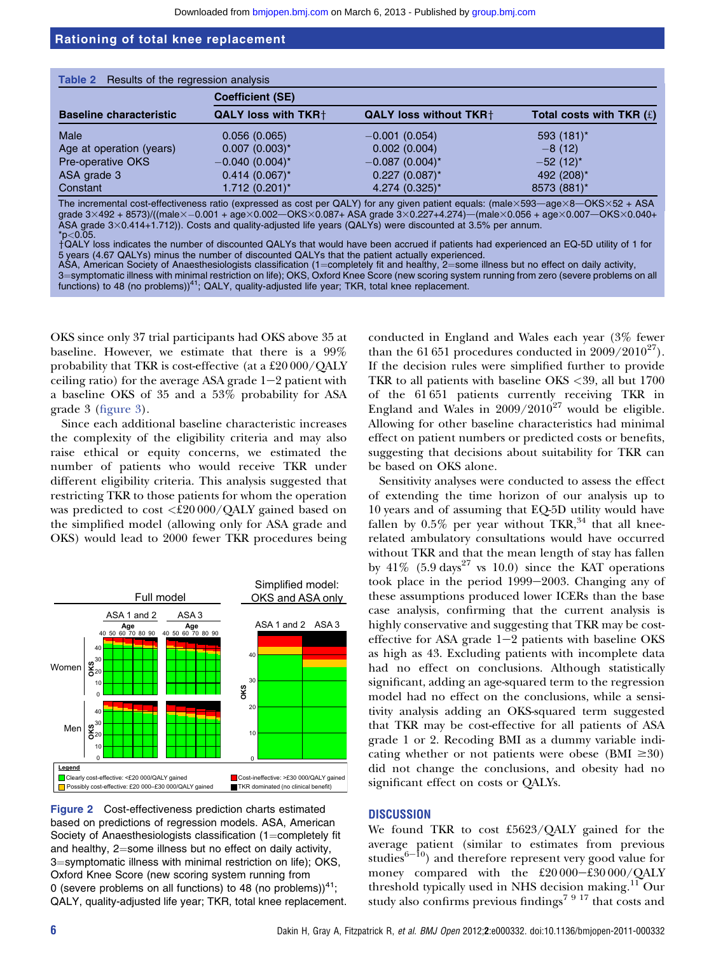|                                | <b>Table 2</b> Results of the regression analysis |                               |                            |  |  |
|--------------------------------|---------------------------------------------------|-------------------------------|----------------------------|--|--|
|                                | <b>Coefficient (SE)</b>                           |                               |                            |  |  |
| <b>Baseline characteristic</b> | <b>QALY loss with TKR+</b>                        | <b>QALY loss without TKR+</b> | Total costs with TKR $(f)$ |  |  |
| Male                           | 0.056(0.065)                                      | $-0.001(0.054)$               | 593 (181)*                 |  |  |
| Age at operation (years)       | $0.007$ $(0.003)^*$                               | 0.002(0.004)                  | $-8(12)$                   |  |  |
| Pre-operative OKS              | $-0.040$ (0.004) <sup>*</sup>                     | $-0.087(0.004)^{*}$           | $-52(12)^{*}$              |  |  |
| ASA grade 3                    | $0.414(0.067)^{*}$                                | $0.227$ (0.087)*              | 492 (208)*                 |  |  |
| Constant                       | 1.712 (0.201)*                                    | 4.274 (0.325)*                | 8573 (881)*                |  |  |

The incremental cost-effectiveness ratio (expressed as cost per QALY) for any given patient equals: (male $\times$ 593-age $\times$ 8-OKS $\times$ 52 + ASA grade  $3\times492 + 8573$ )/((male $\times$  -0.001 + age $\times$ 0.002- $\sim$ OKS $\times$ 0.087+ ASA grade  $3\times$ 0.227+4.274)-(male $\times$ 0.056 + age $\times$ 0.007- $\sim$ OKS $\times$ 0.040+ ASA grade 3×0.414+1.712)). Costs and quality-adjusted life years (QALYs) were discounted at 3.5% per annum.  $*_{p<0.05}$ .

yQALY loss indicates the number of discounted QALYs that would have been accrued if patients had experienced an EQ-5D utility of 1 for 5 years (4.67 QALYs) minus the number of discounted QALYs that the patient actually experienced.

ASA, American Society of Anaesthesiologists classification (1=completely fit and healthy, 2=some illness but no effect on daily activity,

3=symptomatic illness with minimal restriction on life); OKS, Oxford Knee Score (new scoring system running from zero (severe problems on all functions) to 48 (no problems) $4$ <sup>1</sup>; QALY, quality-adjusted life year; TKR, total knee replacement.

OKS since only 37 trial participants had OKS above 35 at baseline. However, we estimate that there is a 99% probability that TKR is cost-effective (at a £20 000/QALY ceiling ratio) for the average ASA grade  $1-2$  patient with a baseline OKS of 35 and a 53% probability for ASA grade 3 (figure 3).

Since each additional baseline characteristic increases the complexity of the eligibility criteria and may also raise ethical or equity concerns, we estimated the number of patients who would receive TKR under different eligibility criteria. This analysis suggested that restricting TKR to those patients for whom the operation was predicted to cost <£20 000/QALY gained based on the simplified model (allowing only for ASA grade and OKS) would lead to 2000 fewer TKR procedures being



Figure 2 Cost-effectiveness prediction charts estimated based on predictions of regression models. ASA, American Society of Anaesthesiologists classification  $(1=$ completely fit and healthy,  $2$ =some illness but no effect on daily activity, 3=symptomatic illness with minimal restriction on life); OKS, Oxford Knee Score (new scoring system running from 0 (severe problems on all functions) to 48 (no problems)) $41$ ; QALY, quality-adjusted life year; TKR, total knee replacement. conducted in England and Wales each year (3% fewer than the 61 651 procedures conducted in  $2009/2010^{27}$ . If the decision rules were simplified further to provide TKR to all patients with baseline OKS <39, all but 1700 of the 61 651 patients currently receiving TKR in England and Wales in  $2009/2010^{27}$  would be eligible. Allowing for other baseline characteristics had minimal effect on patient numbers or predicted costs or benefits, suggesting that decisions about suitability for TKR can be based on OKS alone.

Sensitivity analyses were conducted to assess the effect of extending the time horizon of our analysis up to 10 years and of assuming that EQ-5D utility would have fallen by  $0.5\%$  per year without TKR,  $34$  that all kneerelated ambulatory consultations would have occurred without TKR and that the mean length of stay has fallen by  $41\%$  (5.9 days<sup>27</sup> vs 10.0) since the KAT operations took place in the period  $1999-2003$ . Changing any of these assumptions produced lower ICERs than the base case analysis, confirming that the current analysis is highly conservative and suggesting that TKR may be costeffective for ASA grade  $1-2$  patients with baseline OKS as high as 43. Excluding patients with incomplete data had no effect on conclusions. Although statistically significant, adding an age-squared term to the regression model had no effect on the conclusions, while a sensitivity analysis adding an OKS-squared term suggested that TKR may be cost-effective for all patients of ASA grade 1 or 2. Recoding BMI as a dummy variable indicating whether or not patients were obese (BMI  $\geq 30$ ) did not change the conclusions, and obesity had no significant effect on costs or QALYs.

#### **DISCUSSION**

We found TKR to cost £5623/QALY gained for the average patient (similar to estimates from previous studies<sup>6-10</sup>) and therefore represent very good value for money compared with the  $£20000-£30000/QALY$ threshold typically used in NHS decision making.<sup>11</sup> Our study also confirms previous findings<sup>7 9 17</sup> that costs and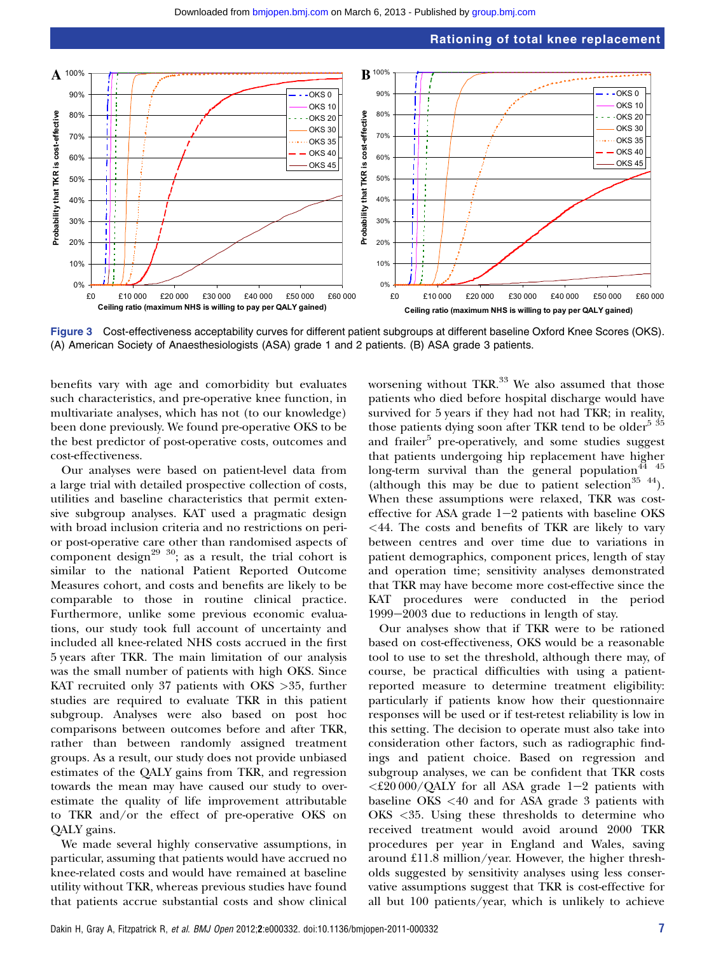



Figure 3 Cost-effectiveness acceptability curves for different patient subgroups at different baseline Oxford Knee Scores (OKS). (A) American Society of Anaesthesiologists (ASA) grade 1 and 2 patients. (B) ASA grade 3 patients.

benefits vary with age and comorbidity but evaluates such characteristics, and pre-operative knee function, in multivariate analyses, which has not (to our knowledge) been done previously. We found pre-operative OKS to be the best predictor of post-operative costs, outcomes and cost-effectiveness.

Our analyses were based on patient-level data from a large trial with detailed prospective collection of costs, utilities and baseline characteristics that permit extensive subgroup analyses. KAT used a pragmatic design with broad inclusion criteria and no restrictions on perior post-operative care other than randomised aspects of component design<sup>29 30</sup>; as a result, the trial cohort is similar to the national Patient Reported Outcome Measures cohort, and costs and benefits are likely to be comparable to those in routine clinical practice. Furthermore, unlike some previous economic evaluations, our study took full account of uncertainty and included all knee-related NHS costs accrued in the first 5 years after TKR. The main limitation of our analysis was the small number of patients with high OKS. Since KAT recruited only 37 patients with OKS >35, further studies are required to evaluate TKR in this patient subgroup. Analyses were also based on post hoc comparisons between outcomes before and after TKR, rather than between randomly assigned treatment groups. As a result, our study does not provide unbiased estimates of the QALY gains from TKR, and regression towards the mean may have caused our study to overestimate the quality of life improvement attributable to TKR and/or the effect of pre-operative OKS on QALY gains.

We made several highly conservative assumptions, in particular, assuming that patients would have accrued no knee-related costs and would have remained at baseline utility without TKR, whereas previous studies have found that patients accrue substantial costs and show clinical

worsening without TKR. $^{33}$  We also assumed that those patients who died before hospital discharge would have survived for 5 years if they had not had TKR; in reality, those patients dying soon after TKR tend to be older<sup>5 35</sup> and frailer<sup>5</sup> pre-operatively, and some studies suggest that patients undergoing hip replacement have higher long-term survival than the general population $44^{44}$ (although this may be due to patient selection<sup>35 44</sup>). When these assumptions were relaxed, TKR was costeffective for ASA grade  $1-2$  patients with baseline OKS  $\leq$  44. The costs and benefits of TKR are likely to vary between centres and over time due to variations in patient demographics, component prices, length of stay and operation time; sensitivity analyses demonstrated that TKR may have become more cost-effective since the KAT procedures were conducted in the period  $1999-2003$  due to reductions in length of stay.

Our analyses show that if TKR were to be rationed based on cost-effectiveness, OKS would be a reasonable tool to use to set the threshold, although there may, of course, be practical difficulties with using a patientreported measure to determine treatment eligibility: particularly if patients know how their questionnaire responses will be used or if test-retest reliability is low in this setting. The decision to operate must also take into consideration other factors, such as radiographic findings and patient choice. Based on regression and subgroup analyses, we can be confident that TKR costs  $\langle \text{£}20\,000/\text{QALY}$  for all ASA grade 1-2 patients with baseline OKS <40 and for ASA grade 3 patients with OKS <35. Using these thresholds to determine who received treatment would avoid around 2000 TKR procedures per year in England and Wales, saving around £11.8 million/year. However, the higher thresholds suggested by sensitivity analyses using less conservative assumptions suggest that TKR is cost-effective for all but 100 patients/year, which is unlikely to achieve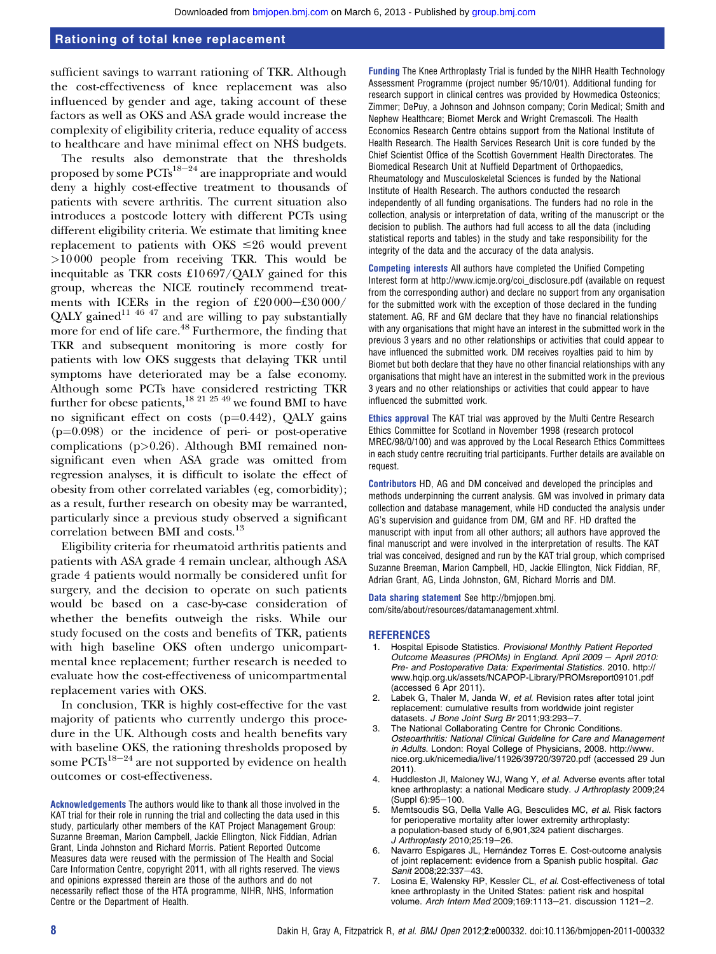sufficient savings to warrant rationing of TKR. Although the cost-effectiveness of knee replacement was also influenced by gender and age, taking account of these factors as well as OKS and ASA grade would increase the complexity of eligibility criteria, reduce equality of access to healthcare and have minimal effect on NHS budgets.

The results also demonstrate that the thresholds proposed by some  $PCTs^{18-24}$  are inappropriate and would deny a highly cost-effective treatment to thousands of patients with severe arthritis. The current situation also introduces a postcode lottery with different PCTs using different eligibility criteria. We estimate that limiting knee replacement to patients with OKS  $\leq 26$  would prevent >10 000 people from receiving TKR. This would be inequitable as TKR costs £10 697/QALY gained for this group, whereas the NICE routinely recommend treatments with ICERs in the region of  $£20000-£30000/$ QALY gained<sup>11 46 47</sup> and are willing to pay substantially more for end of life care.<sup>48</sup> Furthermore, the finding that TKR and subsequent monitoring is more costly for patients with low OKS suggests that delaying TKR until symptoms have deteriorated may be a false economy. Although some PCTs have considered restricting TKR further for obese patients,<sup>18 21 25 49</sup> we found BMI to have no significant effect on costs ( $p=0.442$ ), QALY gains  $(p=0.098)$  or the incidence of peri- or post-operative complications (p>0.26). Although BMI remained nonsignificant even when ASA grade was omitted from regression analyses, it is difficult to isolate the effect of obesity from other correlated variables (eg, comorbidity); as a result, further research on obesity may be warranted, particularly since a previous study observed a significant correlation between BMI and costs.<sup>13</sup>

Eligibility criteria for rheumatoid arthritis patients and patients with ASA grade 4 remain unclear, although ASA grade 4 patients would normally be considered unfit for surgery, and the decision to operate on such patients would be based on a case-by-case consideration of whether the benefits outweigh the risks. While our study focused on the costs and benefits of TKR, patients with high baseline OKS often undergo unicompartmental knee replacement; further research is needed to evaluate how the cost-effectiveness of unicompartmental replacement varies with OKS.

In conclusion, TKR is highly cost-effective for the vast majority of patients who currently undergo this procedure in the UK. Although costs and health benefits vary with baseline OKS, the rationing thresholds proposed by some  $PCTs^{18-24}$  are not supported by evidence on health outcomes or cost-effectiveness.

Acknowledgements The authors would like to thank all those involved in the KAT trial for their role in running the trial and collecting the data used in this study, particularly other members of the KAT Project Management Group: Suzanne Breeman, Marion Campbell, Jackie Ellington, Nick Fiddian, Adrian Grant, Linda Johnston and Richard Morris. Patient Reported Outcome Measures data were reused with the permission of The Health and Social Care Information Centre, copyright 2011, with all rights reserved. The views and opinions expressed therein are those of the authors and do not necessarily reflect those of the HTA programme, NIHR, NHS, Information Centre or the Department of Health.

Funding The Knee Arthroplasty Trial is funded by the NIHR Health Technology Assessment Programme (project number 95/10/01). Additional funding for research support in clinical centres was provided by Howmedica Osteonics; Zimmer; DePuy, a Johnson and Johnson company; Corin Medical; Smith and Nephew Healthcare; Biomet Merck and Wright Cremascoli. The Health Economics Research Centre obtains support from the National Institute of Health Research. The Health Services Research Unit is core funded by the Chief Scientist Office of the Scottish Government Health Directorates. The Biomedical Research Unit at Nuffield Department of Orthopaedics, Rheumatology and Musculoskeletal Sciences is funded by the National Institute of Health Research. The authors conducted the research independently of all funding organisations. The funders had no role in the collection, analysis or interpretation of data, writing of the manuscript or the decision to publish. The authors had full access to all the data (including statistical reports and tables) in the study and take responsibility for the integrity of the data and the accuracy of the data analysis.

Competing interests All authors have completed the Unified Competing Interest form at http://www.icmje.org/coi\_disclosure.pdf (available on request from the corresponding author) and declare no support from any organisation for the submitted work with the exception of those declared in the funding statement. AG, RF and GM declare that they have no financial relationships with any organisations that might have an interest in the submitted work in the previous 3 years and no other relationships or activities that could appear to have influenced the submitted work. DM receives royalties paid to him by Biomet but both declare that they have no other financial relationships with any organisations that might have an interest in the submitted work in the previous 3 years and no other relationships or activities that could appear to have influenced the submitted work.

Ethics approval The KAT trial was approved by the Multi Centre Research Ethics Committee for Scotland in November 1998 (research protocol MREC/98/0/100) and was approved by the Local Research Ethics Committees in each study centre recruiting trial participants. Further details are available on request.

Contributors HD, AG and DM conceived and developed the principles and methods underpinning the current analysis. GM was involved in primary data collection and database management, while HD conducted the analysis under AG's supervision and guidance from DM, GM and RF. HD drafted the manuscript with input from all other authors; all authors have approved the final manuscript and were involved in the interpretation of results. The KAT trial was conceived, designed and run by the KAT trial group, which comprised Suzanne Breeman, Marion Campbell, HD, Jackie Ellington, Nick Fiddian, RF, Adrian Grant, AG, Linda Johnston, GM, Richard Morris and DM.

Data sharing statement See http://bmjopen.bmj. com/site/about/resources/datamanagement.xhtml.

#### **REFERENCES**

- 1. Hospital Episode Statistics. Provisional Monthly Patient Reported Outcome Measures (PROMs) in England. April 2009 - April 2010: Pre- and Postoperative Data: Experimental Statistics. 2010. http:// www.hqip.org.uk/assets/NCAPOP-Library/PROMsreport09101.pdf (accessed 6 Apr 2011).
- 2. Labek G, Thaler M, Janda W, et al. Revision rates after total joint replacement: cumulative results from worldwide joint register datasets. J Bone Joint Surg Br 2011;93:293-7
- 3. The National Collaborating Centre for Chronic Conditions. Osteoarthritis: National Clinical Guideline for Care and Management in Adults. London: Royal College of Physicians, 2008. http://www. nice.org.uk/nicemedia/live/11926/39720/39720.pdf (accessed 29 Jun 2011).
- 4. Huddleston JI, Maloney WJ, Wang Y, et al. Adverse events after total knee arthroplasty: a national Medicare study. J Arthroplasty 2009;24  $(Suppl 6):95-100.$
- Memtsoudis SG, Della Valle AG, Besculides MC, et al. Risk factors for perioperative mortality after lower extremity arthroplasty: a population-based study of 6,901,324 patient discharges. J Arthroplasty 2010;25:19-26.
- 6. Navarro Espigares JL, Hernández Torres E. Cost-outcome analysis of joint replacement: evidence from a Spanish public hospital. Gac Sanit 2008;22:337-43.
- Losina E, Walensky RP, Kessler CL, et al. Cost-effectiveness of total knee arthroplasty in the United States: patient risk and hospital volume. Arch Intern Med 2009;169:1113-21. discussion 1121-2.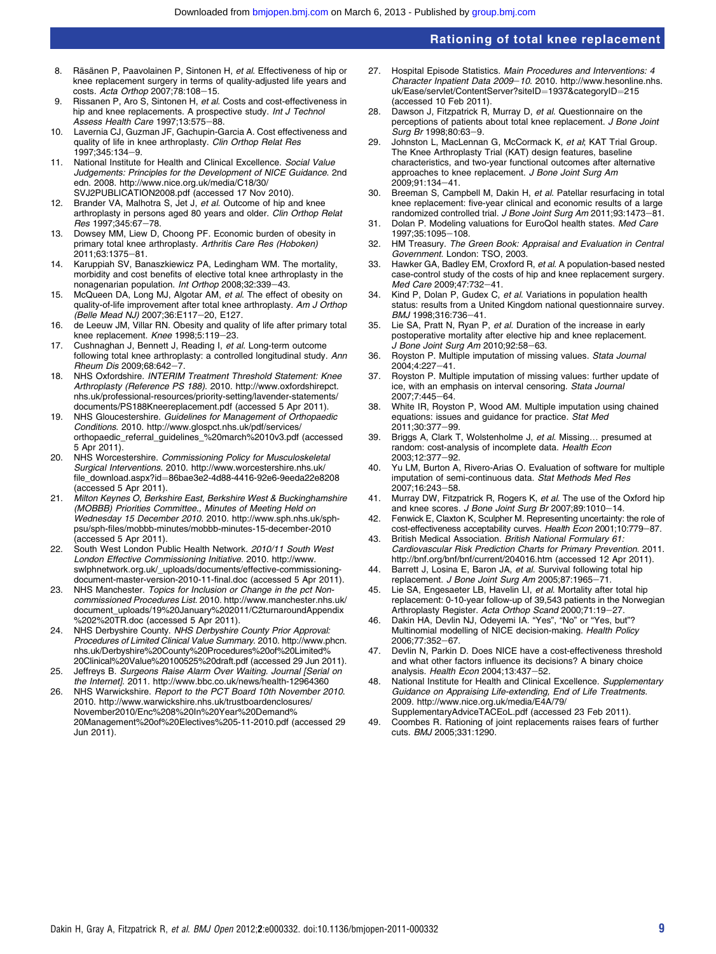- 8. Räsänen P. Paavolainen P. Sintonen H, et al. Effectiveness of hip or knee replacement surgery in terms of quality-adjusted life years and costs. Acta Orthop 2007;78:108-15.
- 9. Rissanen P, Aro S, Sintonen H, et al. Costs and cost-effectiveness in hip and knee replacements. A prospective study. Int J Technol Assess Health Care 1997;13:575-88.
- 10. Lavernia CJ, Guzman JF, Gachupin-Garcia A. Cost effectiveness and quality of life in knee arthroplasty. Clin Orthop Relat Res 1997;345:134-9.
- 11. National Institute for Health and Clinical Excellence. Social Value Judgements: Principles for the Development of NICE Guidance. 2nd edn. 2008. http://www.nice.org.uk/media/C18/30/ SVJ2PUBLICATION2008.pdf (accessed 17 Nov 2010).
- 12. Brander VA, Malhotra S, Jet J, et al. Outcome of hip and knee arthroplasty in persons aged 80 years and older. Clin Orthop Relat Res 1997;345:67-78.
- 13. Dowsey MM, Liew D, Choong PF. Economic burden of obesity in primary total knee arthroplasty. Arthritis Care Res (Hoboken) 2011;63:1375-81.
- 14. Karuppiah SV, Banaszkiewicz PA, Ledingham WM. The mortality, morbidity and cost benefits of elective total knee arthroplasty in the nonagenarian population. Int Orthop 2008;32:339-43.
- 15. McQueen DA, Long MJ, Algotar AM, et al. The effect of obesity on quality-of-life improvement after total knee arthroplasty. Am J Orthop (Belle Mead NJ) 2007:36:E117-20, E127.
- 16. de Leeuw JM, Villar RN. Obesity and quality of life after primary total knee replacement. Knee 1998;5:119-23.
- 17. Cushnaghan J, Bennett J, Reading I, et al. Long-term outcome following total knee arthroplasty: a controlled longitudinal study. Ann  $Rheum$  Dis 2009;68:642-7.
- 18. NHS Oxfordshire. INTERIM Treatment Threshold Statement: Knee Arthroplasty (Reference PS 188). 2010. http://www.oxfordshirepct. nhs.uk/professional-resources/priority-setting/lavender-statements/ documents/PS188Kneereplacement.pdf (accessed 5 Apr 2011).
- 19. NHS Gloucestershire. Guidelines for Management of Orthopaedic Conditions. 2010. http://www.glospct.nhs.uk/pdf/services/ orthopaedic\_referral\_guidelines\_%20march%2010v3.pdf (accessed 5 Apr 2011).
- 20. NHS Worcestershire. Commissioning Policy for Musculoskeletal Surgical Interventions. 2010. http://www.worcestershire.nhs.uk/ file\_download.aspx?id¼86bae3e2-4d88-4416-92e6-9eeda22e8208 (accessed 5 Apr 2011).
- 21. Milton Keynes O, Berkshire East, Berkshire West & Buckinghamshire (MOBBB) Priorities Committee., Minutes of Meeting Held on Wednesday 15 December 2010. 2010. http://www.sph.nhs.uk/sphpsu/sph-files/mobbb-minutes/mobbb-minutes-15-december-2010 (accessed 5 Apr 2011).
- 22. South West London Public Health Network. 2010/11 South West London Effective Commissioning Initiative. 2010. http://www. swlphnetwork.org.uk/\_uploads/documents/effective-commissioningdocument-master-version-2010-11-final.doc (accessed 5 Apr 2011).
- 23. NHS Manchester. Topics for Inclusion or Change in the pct Noncommissioned Procedures List. 2010. http://www.manchester.nhs.uk/ document\_uploads/19%20January%202011/C2turnaroundAppendix %202%20TR.doc (accessed 5 Apr 2011).
- 24. NHS Derbyshire County. NHS Derbyshire County Prior Approval: Procedures of Limited Clinical Value Summary. 2010. http://www.phcn. nhs.uk/Derbyshire%20County%20Procedures%20of%20Limited% 20Clinical%20Value%20100525%20draft.pdf (accessed 29 Jun 2011).
- 25. Jeffreys B. Surgeons Raise Alarm Over Waiting. Journal [Serial on the Internet]. 2011. http://www.bbc.co.uk/news/health-12964360
- 26. NHS Warwickshire. Report to the PCT Board 10th November 2010. 2010. http://www.warwickshire.nhs.uk/trustboardenclosures/ November2010/Enc%208%20In%20Year%20Demand% 20Management%20of%20Electives%205-11-2010.pdf (accessed 29 Jun 2011).
- 27. Hospital Episode Statistics. Main Procedures and Interventions: 4 Character Inpatient Data 2009-10. 2010. http://www.hesonline.nhs. uk/Ease/servlet/ContentServer?siteID=1937&categoryID=215 (accessed 10 Feb 2011).
- 28. Dawson J, Fitzpatrick R, Murray D, et al. Questionnaire on the perceptions of patients about total knee replacement. J Bone Joint Surg Br 1998:80:63-9.
- 29. Johnston L, MacLennan G, McCormack K, et al; KAT Trial Group. The Knee Arthroplasty Trial (KAT) design features, baseline characteristics, and two-year functional outcomes after alternative approaches to knee replacement. J Bone Joint Surg Am 2009;91:134-41.
- 30. Breeman S, Campbell M, Dakin H, et al. Patellar resurfacing in total knee replacement: five-year clinical and economic results of a large randomized controlled trial. J Bone Joint Surg Am 2011:93:1473-81.
- 31. Dolan P. Modeling valuations for EuroQol health states. Med Care 1997:35:1095-108.
- 32. HM Treasury. The Green Book: Appraisal and Evaluation in Central Government. London: TSO, 2003.
- 33. Hawker GA, Badley EM, Croxford R, et al. A population-based nested case-control study of the costs of hip and knee replacement surgery. Med Care 2009;47:732-41.
- 34. Kind P, Dolan P, Gudex C, et al. Variations in population health status: results from a United Kingdom national questionnaire survey. BMJ 1998:316:736-41.
- 35. Lie SA, Pratt N, Ryan P, et al. Duration of the increase in early postoperative mortality after elective hip and knee replacement. J Bone Joint Surg Am 2010;92:58-63.
- 36. Royston P. Multiple imputation of missing values. Stata Journal  $2004;4:227-41.$
- 37. Royston P. Multiple imputation of missing values: further update of ice, with an emphasis on interval censoring. Stata Journal 2007;7:445-64.
- 38. White IR, Royston P, Wood AM. Multiple imputation using chained equations: issues and guidance for practice. Stat Med 2011:30:377-99.
- 39. Briggs A, Clark T, Wolstenholme J, et al. Missing... presumed at random: cost-analysis of incomplete data. Health Econ 2003;12:377-92.
- 40. Yu LM, Burton A, Rivero-Arias O. Evaluation of software for multiple imputation of semi-continuous data. Stat Methods Med Res 2007;16:243-58.
- 41. Murray DW, Fitzpatrick R, Rogers K, et al. The use of the Oxford hip and knee scores. J Bone Joint Surg Br 2007;89:1010-14.
- 42. Fenwick E, Claxton K, Sculpher M. Representing uncertainty: the role of cost-effectiveness acceptability curves. Health Econ 2001;10:779-87.
- 43. British Medical Association. British National Formulary 61: Cardiovascular Risk Prediction Charts for Primary Prevention. 2011. http://bnf.org/bnf/bnf/current/204016.htm (accessed 12 Apr 2011).
- 44. Barrett J, Losina E, Baron JA, et al. Survival following total hip replacement. J Bone Joint Surg Am 2005;87:1965-71.
- 45. Lie SA, Engesaeter LB, Havelin LI, et al. Mortality after total hip replacement: 0-10-year follow-up of 39,543 patients in the Norwegian Arthroplasty Register. Acta Orthop Scand 2000;71:19-27.
- Dakin HA, Devlin NJ, Odeyemi IA. "Yes", "No" or "Yes, but"? Multinomial modelling of NICE decision-making. Health Policy 2006:77:352-67
- 47. Devlin N, Parkin D. Does NICE have a cost-effectiveness threshold and what other factors influence its decisions? A binary choice analysis. Health Econ 2004;13:437-52.
- 48. National Institute for Health and Clinical Excellence. Supplementary Guidance on Appraising Life-extending, End of Life Treatments. 2009. http://www.nice.org.uk/media/E4A/79/ SupplementaryAdviceTACEoL.pdf (accessed 23 Feb 2011).
- 49. Coombes R. Rationing of joint replacements raises fears of further cuts. BMJ 2005;331:1290.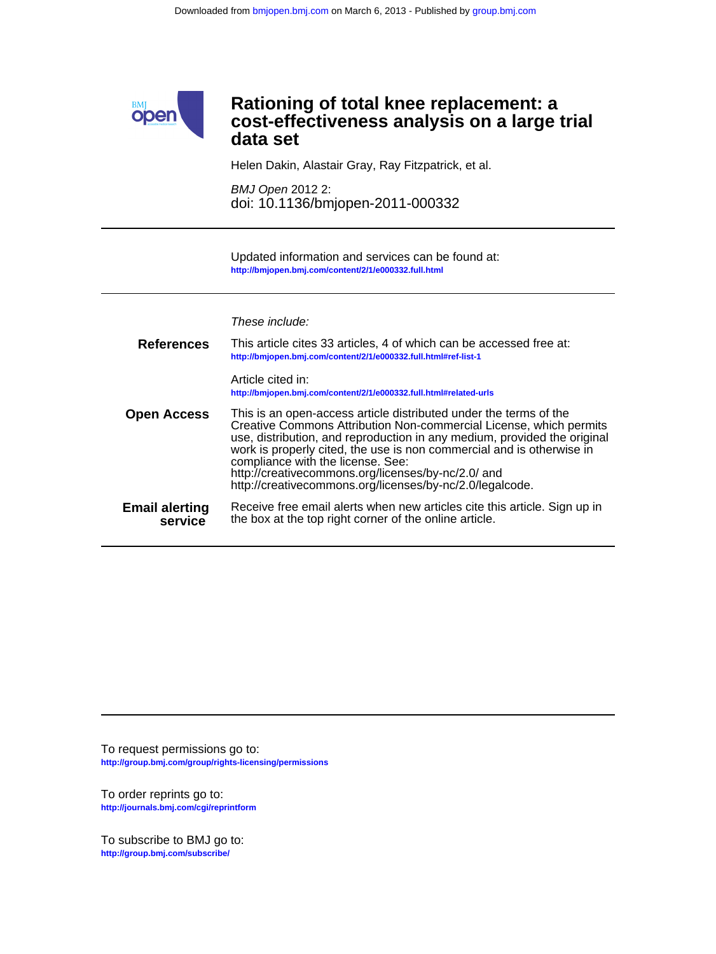

Helen Dakin, Alastair Gray, Ray Fitzpatrick, et al.

doi: 10.1136/bmjopen-2011-000332 BMJ Open 2012 2:

**<http://bmjopen.bmj.com/content/2/1/e000332.full.html>** Updated information and services can be found at:

These include:

| <b>References</b>                | This article cites 33 articles, 4 of which can be accessed free at:<br>http://bmjopen.bmj.com/content/2/1/e000332.full.html#ref-list-1                                                                                                                                                                                                                                                                                                              |
|----------------------------------|-----------------------------------------------------------------------------------------------------------------------------------------------------------------------------------------------------------------------------------------------------------------------------------------------------------------------------------------------------------------------------------------------------------------------------------------------------|
|                                  | Article cited in:<br>http://bmjopen.bmj.com/content/2/1/e000332.full.html#related-urls                                                                                                                                                                                                                                                                                                                                                              |
| <b>Open Access</b>               | This is an open-access article distributed under the terms of the<br>Creative Commons Attribution Non-commercial License, which permits<br>use, distribution, and reproduction in any medium, provided the original<br>work is properly cited, the use is non commercial and is otherwise in<br>compliance with the license. See:<br>http://creativecommons.org/licenses/by-nc/2.0/ and<br>http://creativecommons.org/licenses/by-nc/2.0/legalcode. |
| <b>Email alerting</b><br>service | Receive free email alerts when new articles cite this article. Sign up in<br>the box at the top right corner of the online article.                                                                                                                                                                                                                                                                                                                 |

**<http://group.bmj.com/group/rights-licensing/permissions>** To request permissions go to:

**<http://journals.bmj.com/cgi/reprintform>** To order reprints go to:

**<http://group.bmj.com/subscribe/>** To subscribe to BMJ go to: